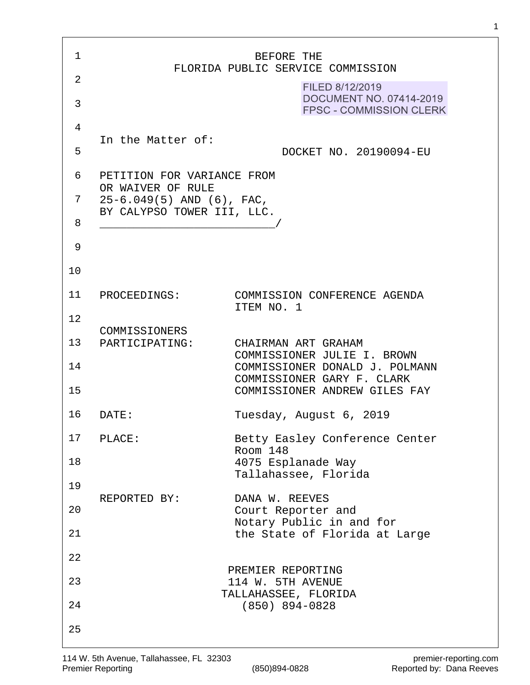| 1              |                                                                                   | BEFORE THE                                                                                    |
|----------------|-----------------------------------------------------------------------------------|-----------------------------------------------------------------------------------------------|
| $\overline{2}$ |                                                                                   | FLORIDA PUBLIC SERVICE COMMISSION<br>FILED 8/12/2019                                          |
| 3              |                                                                                   | DOCUMENT NO. 07414-2019<br><b>FPSC - COMMISSION CLERK</b>                                     |
| 4              |                                                                                   |                                                                                               |
| 5              | In the Matter of:                                                                 | DOCKET NO. 20190094-EU                                                                        |
| 6              | PETITION FOR VARIANCE FROM                                                        |                                                                                               |
| 7              | OR WAIVER OF RULE<br>$25-6.049(5)$ AND $(6)$ , FAC,<br>BY CALYPSO TOWER III, LLC. |                                                                                               |
| 8              |                                                                                   |                                                                                               |
| 9              |                                                                                   |                                                                                               |
| 10             |                                                                                   |                                                                                               |
| 11             | PROCEEDINGS:                                                                      | COMMISSION CONFERENCE AGENDA<br>ITEM NO. 1                                                    |
| 12             | COMMISSIONERS                                                                     |                                                                                               |
| 13             | PARTICIPATING:                                                                    | CHAIRMAN ART GRAHAM<br>COMMISSIONER JULIE I. BROWN                                            |
| 14<br>15       |                                                                                   | COMMISSIONER DONALD J. POLMANN<br>COMMISSIONER GARY F. CLARK<br>COMMISSIONER ANDREW GILES FAY |
| 16             | DATE:                                                                             | Tuesday, August 6, 2019                                                                       |
| 17             | PLACE:                                                                            | Betty Easley Conference Center                                                                |
| 18             |                                                                                   | Room 148<br>4075 Esplanade Way                                                                |
| 19             |                                                                                   | Tallahassee, Florida                                                                          |
| 20             | REPORTED BY:                                                                      | DANA W. REEVES<br>Court Reporter and                                                          |
| 21             |                                                                                   | Notary Public in and for<br>the State of Florida at Large                                     |
| 22             |                                                                                   |                                                                                               |
| 23             |                                                                                   | PREMIER REPORTING<br>114 W. 5TH AVENUE<br>TALLAHASSEE, FLORIDA                                |
| 24             |                                                                                   | $(850)$ 894-0828                                                                              |
| 25             |                                                                                   |                                                                                               |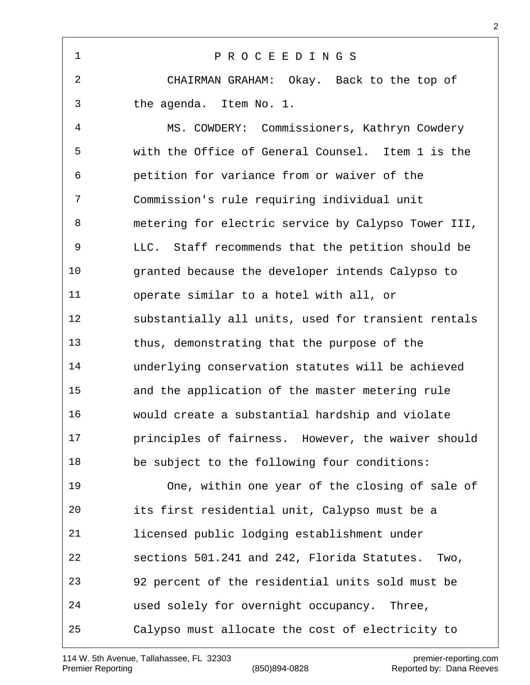P R O C E E D I N G S CHAIRMAN GRAHAM: Okay. Back to the top of the agenda. Item No. 1. MS. COWDERY: Commissioners, Kathryn Cowdery with the Office of General Counsel. Item 1 is the petition for variance from or waiver of the Commission's rule requiring individual unit metering for electric service by Calypso Tower III, LLC. Staff recommends that the petition should be granted because the developer intends Calypso to operate similar to a hotel with all, or substantially all units, used for transient rentals thus, demonstrating that the purpose of the underlying conservation statutes will be achieved and the application of the master metering rule would create a substantial hardship and violate principles of fairness. However, the waiver should be subject to the following four conditions: One, within one year of the closing of sale of its first residential unit, Calypso must be a licensed public lodging establishment under sections 501.241 and 242, Florida Statutes. Two, 92 percent of the residential units sold must be used solely for overnight occupancy. Three, Calypso must allocate the cost of electricity to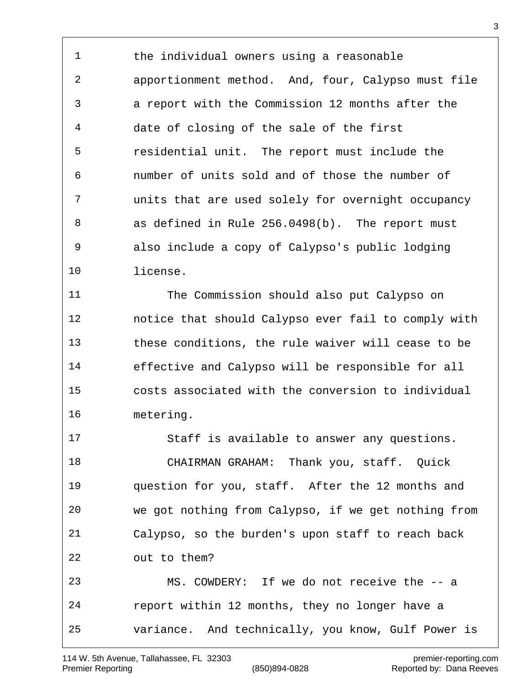the individual owners using a reasonable apportionment method. And, four, Calypso must file a report with the Commission 12 months after the date of closing of the sale of the first residential unit. The report must include the number of units sold and of those the number of units that are used solely for overnight occupancy as defined in Rule 256.0498(b). The report must also include a copy of Calypso's public lodging license.

 The Commission should also put Calypso on notice that should Calypso ever fail to comply with these conditions, the rule waiver will cease to be effective and Calypso will be responsible for all costs associated with the conversion to individual metering.

 Staff is available to answer any questions. CHAIRMAN GRAHAM: Thank you, staff. Quick question for you, staff. After the 12 months and we got nothing from Calypso, if we get nothing from Calypso, so the burden's upon staff to reach back out to them? MS. COWDERY: If we do not receive the -- a report within 12 months, they no longer have a variance. And technically, you know, Gulf Power is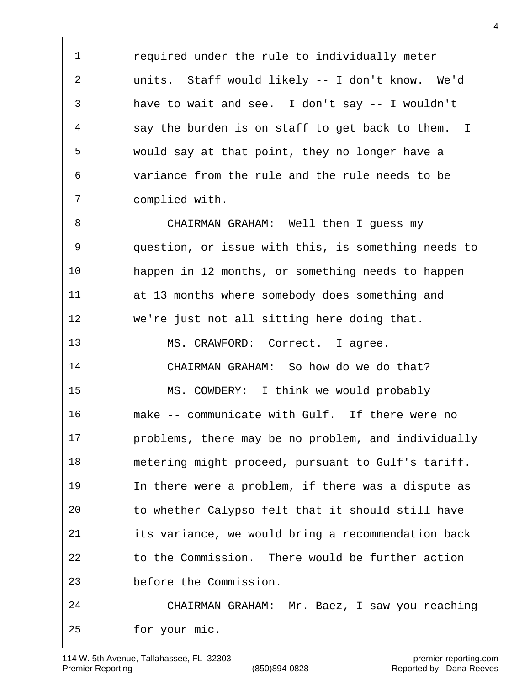required under the rule to individually meter units. Staff would likely -- I don't know. We'd have to wait and see. I don't say -- I wouldn't say the burden is on staff to get back to them. I would say at that point, they no longer have a variance from the rule and the rule needs to be complied with.

 CHAIRMAN GRAHAM: Well then I guess my question, or issue with this, is something needs to happen in 12 months, or something needs to happen at 13 months where somebody does something and we're just not all sitting here doing that. 13 MS. CRAWFORD: Correct. I agree. CHAIRMAN GRAHAM: So how do we do that? MS. COWDERY: I think we would probably make -- communicate with Gulf. If there were no problems, there may be no problem, and individually metering might proceed, pursuant to Gulf's tariff. In there were a problem, if there was a dispute as to whether Calypso felt that it should still have its variance, we would bring a recommendation back to the Commission. There would be further action before the Commission. CHAIRMAN GRAHAM: Mr. Baez, I saw you reaching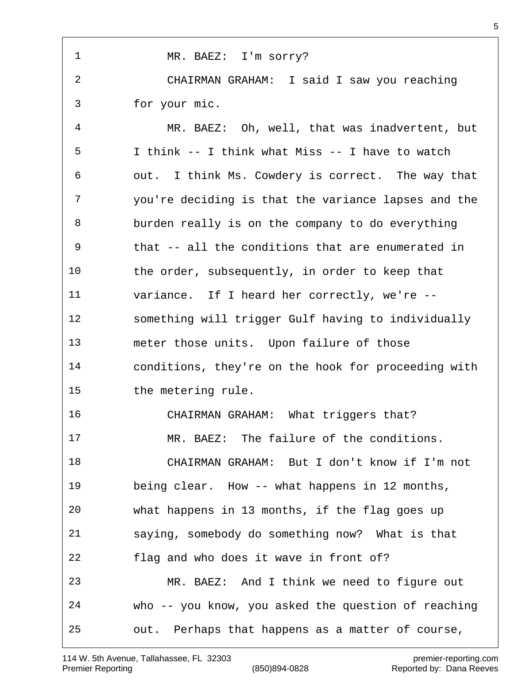| $\mathbf{1}$ | MR. BAEZ: I'm sorry?                                |
|--------------|-----------------------------------------------------|
| 2            | CHAIRMAN GRAHAM: I said I saw you reaching          |
| 3            | for your mic.                                       |
| 4            | MR. BAEZ: Oh, well, that was inadvertent, but       |
| 5            | I think -- I think what Miss -- I have to watch     |
| 6            | out. I think Ms. Cowdery is correct. The way that   |
| 7            | you're deciding is that the variance lapses and the |
| 8            | burden really is on the company to do everything    |
| 9            | that -- all the conditions that are enumerated in   |
| 10           | the order, subsequently, in order to keep that      |
| 11           | variance. If I heard her correctly, we're --        |
| 12           | something will trigger Gulf having to individually  |
| 13           | meter those units. Upon failure of those            |
| 14           | conditions, they're on the hook for proceeding with |
| 15           | the metering rule.                                  |
| 16           | CHAIRMAN GRAHAM: What triggers that?                |
| 17           | MR. BAEZ: The failure of the conditions.            |
| 18           | CHAIRMAN GRAHAM: But I don't know if I'm not        |
| 19           | being clear. How -- what happens in 12 months,      |
| 20           | what happens in 13 months, if the flag goes up      |
| 21           | saying, somebody do something now? What is that     |
| 22           | flag and who does it wave in front of?              |
| 23           | MR. BAEZ: And I think we need to figure out         |
| 24           | who -- you know, you asked the question of reaching |
| 25           | out. Perhaps that happens as a matter of course,    |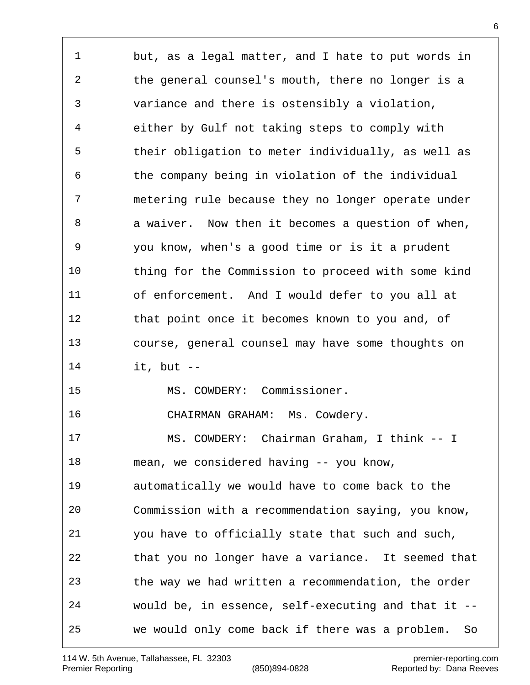but, as a legal matter, and I hate to put words in the general counsel's mouth, there no longer is a variance and there is ostensibly a violation, either by Gulf not taking steps to comply with their obligation to meter individually, as well as the company being in violation of the individual metering rule because they no longer operate under 8 a waiver. Now then it becomes a question of when, you know, when's a good time or is it a prudent thing for the Commission to proceed with some kind of enforcement. And I would defer to you all at that point once it becomes known to you and, of course, general counsel may have some thoughts on it, but -- MS. COWDERY: Commissioner. CHAIRMAN GRAHAM: Ms. Cowdery. MS. COWDERY: Chairman Graham, I think -- I mean, we considered having -- you know, automatically we would have to come back to the Commission with a recommendation saying, you know, you have to officially state that such and such, that you no longer have a variance. It seemed that the way we had written a recommendation, the order would be, in essence, self-executing and that it -- we would only come back if there was a problem. So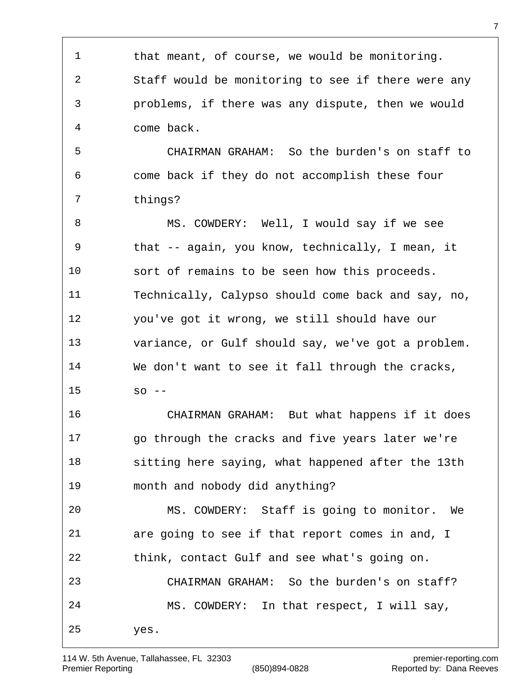that meant, of course, we would be monitoring. Staff would be monitoring to see if there were any problems, if there was any dispute, then we would come back. CHAIRMAN GRAHAM: So the burden's on staff to come back if they do not accomplish these four things? MS. COWDERY: Well, I would say if we see that -- again, you know, technically, I mean, it sort of remains to be seen how this proceeds. Technically, Calypso should come back and say, no, you've got it wrong, we still should have our variance, or Gulf should say, we've got a problem. We don't want to see it fall through the cracks,  $15 \quad$  so  $-$  CHAIRMAN GRAHAM: But what happens if it does go through the cracks and five years later we're sitting here saying, what happened after the 13th month and nobody did anything? MS. COWDERY: Staff is going to monitor. We are going to see if that report comes in and, I think, contact Gulf and see what's going on. CHAIRMAN GRAHAM: So the burden's on staff? MS. COWDERY: In that respect, I will say, yes.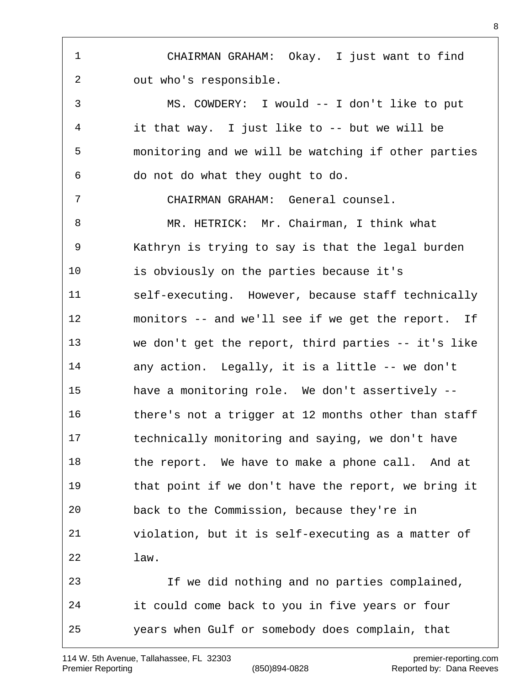CHAIRMAN GRAHAM: Okay. I just want to find out who's responsible. MS. COWDERY: I would -- I don't like to put it that way. I just like to -- but we will be monitoring and we will be watching if other parties do not do what they ought to do. CHAIRMAN GRAHAM: General counsel. MR. HETRICK: Mr. Chairman, I think what Kathryn is trying to say is that the legal burden is obviously on the parties because it's self-executing. However, because staff technically monitors -- and we'll see if we get the report. If we don't get the report, third parties -- it's like any action. Legally, it is a little -- we don't have a monitoring role. We don't assertively -- there's not a trigger at 12 months other than staff technically monitoring and saying, we don't have 18 the report. We have to make a phone call. And at that point if we don't have the report, we bring it back to the Commission, because they're in violation, but it is self-executing as a matter of law. If we did nothing and no parties complained, it could come back to you in five years or four years when Gulf or somebody does complain, that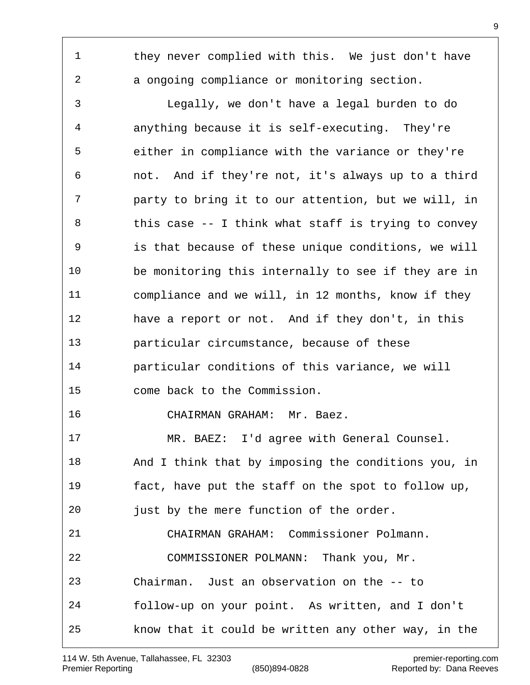1 they never complied with this. We just don't have a ongoing compliance or monitoring section. Legally, we don't have a legal burden to do anything because it is self-executing. They're either in compliance with the variance or they're not. And if they're not, it's always up to a third party to bring it to our attention, but we will, in 8 this case -- I think what staff is trying to convey is that because of these unique conditions, we will be monitoring this internally to see if they are in compliance and we will, in 12 months, know if they have a report or not. And if they don't, in this particular circumstance, because of these particular conditions of this variance, we will come back to the Commission. CHAIRMAN GRAHAM: Mr. Baez. MR. BAEZ: I'd agree with General Counsel. And I think that by imposing the conditions you, in fact, have put the staff on the spot to follow up, just by the mere function of the order. CHAIRMAN GRAHAM: Commissioner Polmann. COMMISSIONER POLMANN: Thank you, Mr. Chairman. Just an observation on the -- to follow-up on your point. As written, and I don't know that it could be written any other way, in the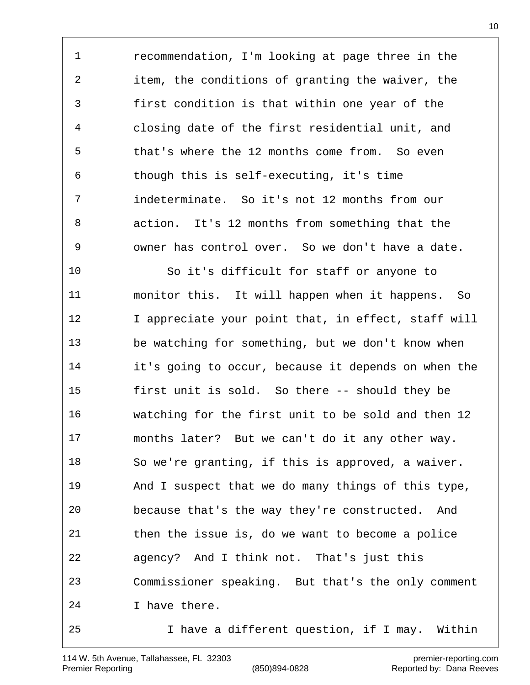recommendation, I'm looking at page three in the item, the conditions of granting the waiver, the first condition is that within one year of the closing date of the first residential unit, and that's where the 12 months come from. So even though this is self-executing, it's time indeterminate. So it's not 12 months from our action. It's 12 months from something that the owner has control over. So we don't have a date.

 So it's difficult for staff or anyone to monitor this. It will happen when it happens. So 12 I appreciate your point that, in effect, staff will be watching for something, but we don't know when it's going to occur, because it depends on when the first unit is sold. So there -- should they be watching for the first unit to be sold and then 12 months later? But we can't do it any other way. So we're granting, if this is approved, a waiver. And I suspect that we do many things of this type, because that's the way they're constructed. And then the issue is, do we want to become a police agency? And I think not. That's just this Commissioner speaking. But that's the only comment I have there. I have a different question, if I may. Within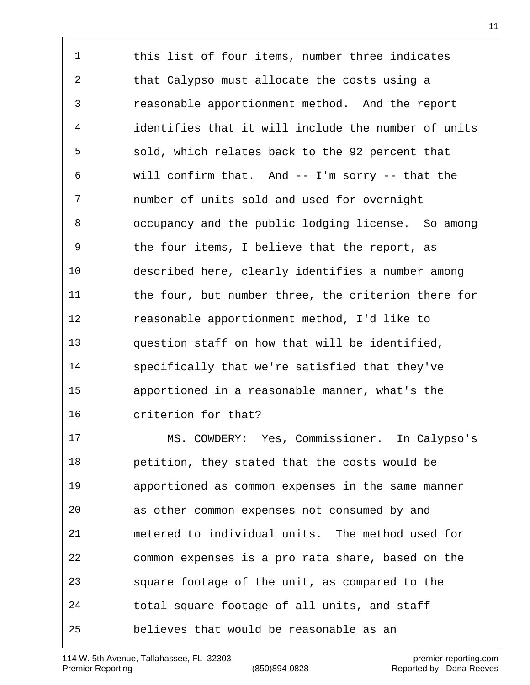1 this list of four items, number three indicates that Calypso must allocate the costs using a reasonable apportionment method. And the report identifies that it will include the number of units sold, which relates back to the 92 percent that will confirm that. And -- I'm sorry -- that the number of units sold and used for overnight occupancy and the public lodging license. So among the four items, I believe that the report, as described here, clearly identifies a number among 11 the four, but number three, the criterion there for reasonable apportionment method, I'd like to question staff on how that will be identified, specifically that we're satisfied that they've apportioned in a reasonable manner, what's the criterion for that?

 MS. COWDERY: Yes, Commissioner. In Calypso's petition, they stated that the costs would be apportioned as common expenses in the same manner as other common expenses not consumed by and metered to individual units. The method used for common expenses is a pro rata share, based on the square footage of the unit, as compared to the total square footage of all units, and staff believes that would be reasonable as an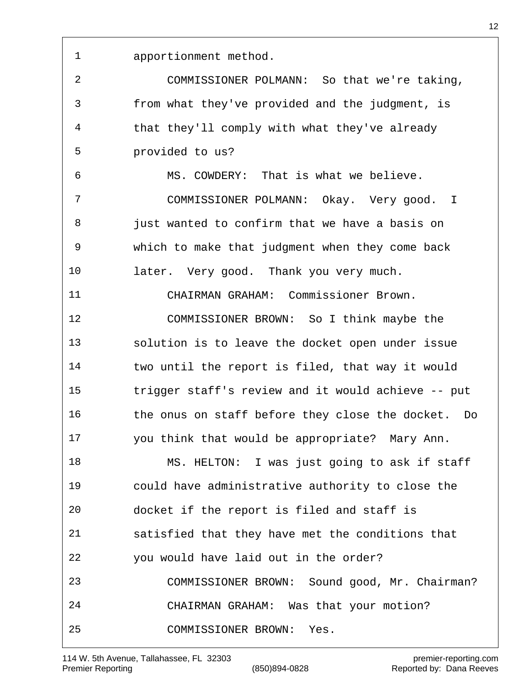apportionment method.

 COMMISSIONER POLMANN: So that we're taking, from what they've provided and the judgment, is that they'll comply with what they've already provided to us?

 MS. COWDERY: That is what we believe. COMMISSIONER POLMANN: Okay. Very good. I 8 just wanted to confirm that we have a basis on which to make that judgment when they come back later. Very good. Thank you very much.

 CHAIRMAN GRAHAM: Commissioner Brown. COMMISSIONER BROWN: So I think maybe the solution is to leave the docket open under issue two until the report is filed, that way it would trigger staff's review and it would achieve -- put

 the onus on staff before they close the docket. Do you think that would be appropriate? Mary Ann.

 MS. HELTON: I was just going to ask if staff could have administrative authority to close the docket if the report is filed and staff is satisfied that they have met the conditions that you would have laid out in the order? COMMISSIONER BROWN: Sound good, Mr. Chairman? CHAIRMAN GRAHAM: Was that your motion? COMMISSIONER BROWN: Yes.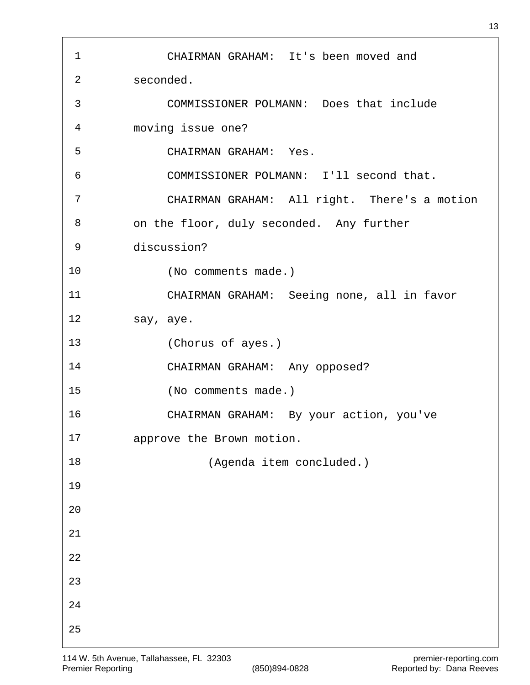CHAIRMAN GRAHAM: It's been moved and seconded. COMMISSIONER POLMANN: Does that include moving issue one? CHAIRMAN GRAHAM: Yes. COMMISSIONER POLMANN: I'll second that. CHAIRMAN GRAHAM: All right. There's a motion on the floor, duly seconded. Any further discussion? (No comments made.) CHAIRMAN GRAHAM: Seeing none, all in favor say, aye. (Chorus of ayes.) CHAIRMAN GRAHAM: Any opposed? (No comments made.) CHAIRMAN GRAHAM: By your action, you've approve the Brown motion. (Agenda item concluded.)